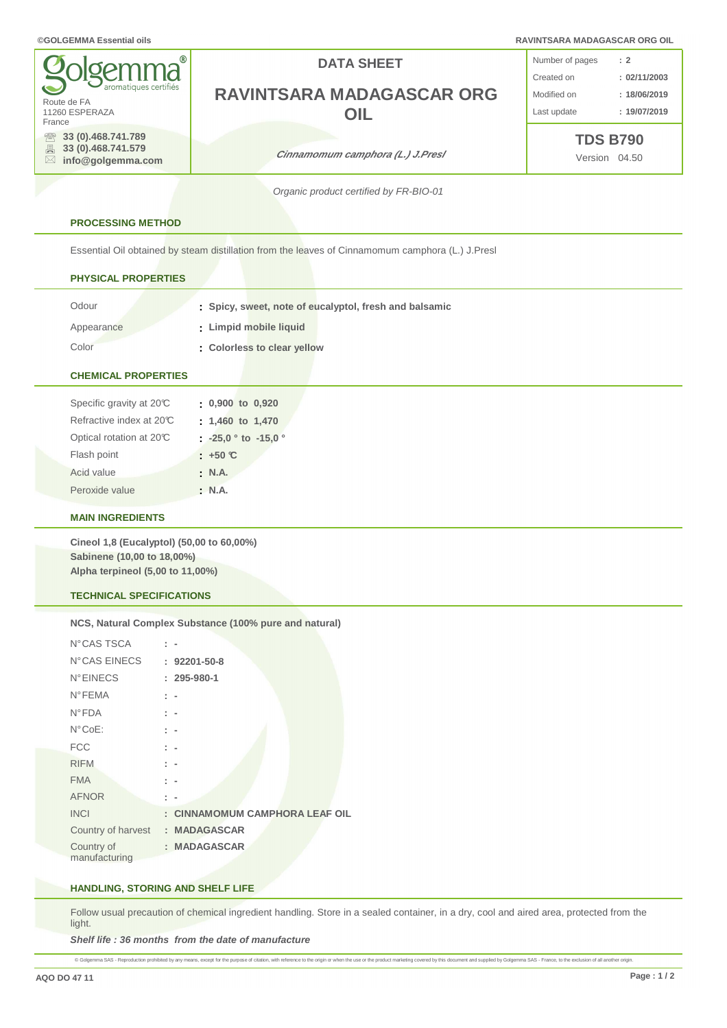#### **©GOLGEMMA Essential oils RAVINTSARA MADAGASCAR ORG OIL**

| <b>g</b> olgemma <sup>®</sup>                                                               | <b>DATA SHEET</b>                | Number of pages                  | $\therefore$ 2 |
|---------------------------------------------------------------------------------------------|----------------------------------|----------------------------------|----------------|
| aromatiques certifiés                                                                       |                                  | Created on                       | : 02/11/2003   |
| Route de FA                                                                                 | RAVINTSARA MADAGASCAR ORG        | Modified on                      | : 18/06/2019   |
| 11260 ESPERAZA<br>France                                                                    | DIL                              | Last update                      | : 19/07/2019   |
| 33 (0).468.741.789<br>$\mathbb{R}$<br>■ 33 (0).468.741.579<br>$\boxtimes$ info@golgemma.com | Cinnamomum camphora (L.) J.Presl | <b>TDS B790</b><br>Version 04.50 |                |

Organic product certified by FR-BIO-01

### **PROCESSING METHOD**

Essential Oil obtained by steam distillation from the leaves of Cinnamomum camphora (L.) J.Presl

# **PHYSICAL PROPERTIES**

| Odour      | Spicy, sweet, note of eucalyptol, fresh and balsamic |
|------------|------------------------------------------------------|
| Appearance | : Limpid mobile liquid                               |
| Color      | Colorless to clear yellow                            |

## **CHEMICAL PROPERTIES**

| Specific gravity at 20°C | $0,900$ to $0,920$               |
|--------------------------|----------------------------------|
| Refractive index at 20°C | $: 1,460$ to $1,470$             |
| Optical rotation at 20°C | $\frac{1}{2}$ -25,0 ° to -15,0 ° |
| Flash point              | $: +50 \text{ C}$                |
| Acid value               | $\cdot$ N.A.                     |
| Peroxide value           | : N.A.                           |

### **MAIN INGREDIENTS**

**Cineol 1,8 (Eucalyptol) (50,00 to 60,00%) Sabinene (10,00 to 18,00%) Alpha terpineol (5,00 to 11,00%)**

# **TECHNICAL SPECIFICATIONS**

#### **NCS, Natural Complex Substance (100% pure and natural)**

| N°CAS TSCA         |                                     |
|--------------------|-------------------------------------|
| N°CAS EINECS       | $: 92201 - 50 - 8$                  |
| <b>N°EINECS</b>    | $: 295 - 980 - 1$                   |
| <b>N°FEMA</b>      |                                     |
| $N^{\circ}$ FDA    | $\mathbb{R}^n$                      |
| $N^{\circ}CoE$ :   | : -                                 |
| <b>FCC</b>         | t.                                  |
| <b>RIFM</b>        |                                     |
| <b>FMA</b>         |                                     |
| <b>AFNOR</b>       |                                     |
| <b>INCI</b>        | <b>CINNAMOMUM CAMPHORA LEAF OIL</b> |
| Country of harvest | : MADAGASCAR                        |
| Country of         | : MADAGASCAR                        |
| manufacturing      |                                     |

#### **HANDLING, STORING AND SHELF LIFE**

Follow usual precaution of chemical ingredient handling. Store in a sealed container, in a dry, cool and aired area, protected from the light.

**Shelf life : 36 months from the date of manufacture**

@ Gdgemma SAS - Reproduction prohibited by any means, except for the purpose of citation, with reference to the origin or when the use or the product marketing covered by this document and supplied by Gdgemma SAS - France,